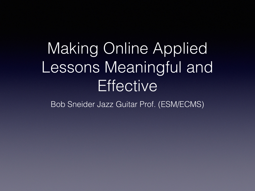## Making Online Applied Lessons Meaningful and **Effective**

Bob Sneider Jazz Guitar Prof. (ESM/ECMS)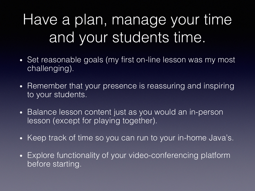### Have a plan, manage your time and your students time.

- Set reasonable goals (my first on-line lesson was my most challenging).
- Remember that your presence is reassuring and inspiring to your students.
- Balance lesson content just as you would an in-person lesson (except for playing together).
- Keep track of time so you can run to your in-home Java's.
- Explore functionality of your video-conferencing platform before starting.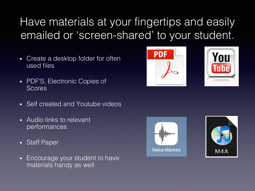#### Have materials at your fingertips and easily emailed or 'screen-shared' to your student.

- Create a desktop folder for often used files
- PDF'S, Electronic Copies of Scores
- Self created and Youtube videos
- Audio links to relevant performances
- Staff Paper
- Encourage your student to have materials handy as well







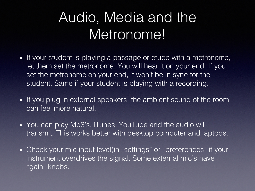#### Audio, Media and the Metronome!

- If your student is playing a passage or etude with a metronome, let them set the metronome. You will hear it on your end. If you set the metronome on your end, it won't be in sync for the student. Same if your student is playing with a recording.
- If you plug in external speakers, the ambient sound of the room can feel more natural.
- You can play Mp3's, iTunes, YouTube and the audio will transmit. This works better with desktop computer and laptops.
- Check your mic input level(in "settings" or "preferences" if your instrument overdrives the signal. Some external mic's have "gain" knobs.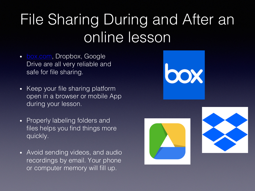### File Sharing During online less

- **box.com**, Dropbox, Google Drive are all very reliable and safe for file sharing.
- Keep your file sharing platform open in a browser or mobile App during your lesson.
- Properly labeling folders and files helps you find things more quickly.
- Avoid sending videos, and audio recordings by email. Your phone or computer memory will fill up.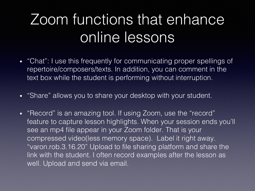#### Zoom functions that enhance online lessons

- "Chat": I use this frequently for communicating proper spellings of repertoire/composers/texts. In addition, you can comment in the text box while the student is performing without interruption.
- "Share" allows you to share your desktop with your student.
- "Record" is an amazing tool. If using Zoom, use the "record" feature to capture lesson highlights. When your session ends you'll see an mp4 file appear in your Zoom folder. That is your compressed video(less memory space). Label it right away. "varon.rob.3.16.20" Upload to file sharing platform and share the link with the student. I often record examples after the lesson as well. Upload and send via email.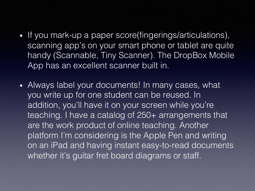- If you mark-up a paper score(fingerings/articulations), scanning app's on your smart phone or tablet are quite handy (Scannable, Tiny Scanner). The DropBox Mobile App has an excellent scanner built in.
- Always label your documents! In many cases, what you write up for one student can be reused. In addition, you'll have it on your screen while you're teaching. I have a catalog of 250+ arrangements that are the work product of online teaching. Another platform I'm considering is the Apple Pen and writing on an iPad and having instant easy-to-read documents whether it's guitar fret board diagrams or staff.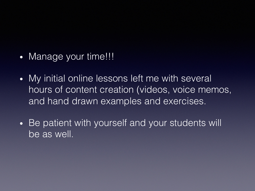- Manage your time!!!
- My initial online lessons left me with several hours of content creation (videos, voice memos, and hand drawn examples and exercises.
- Be patient with yourself and your students will be as well.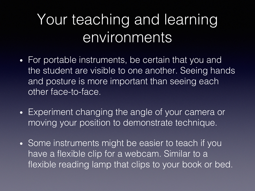#### Your teaching and learning environments

- For portable instruments, be certain that you and the student are visible to one another. Seeing hands and posture is more important than seeing each other face-to-face.
- Experiment changing the angle of your camera or moving your position to demonstrate technique.
- Some instruments might be easier to teach if you have a flexible clip for a webcam. Similar to a flexible reading lamp that clips to your book or bed.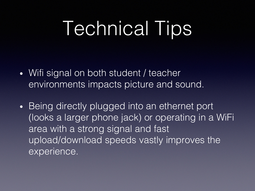# Technical Tips

- Wifi signal on both student / teacher environments impacts picture and sound.
- Being directly plugged into an ethernet port (looks a larger phone jack) or operating in a WiFi area with a strong signal and fast upload/download speeds vastly improves the experience.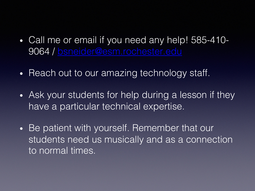- Call me or email if you need a 9064 / bsneider@esm.rochest
- Reach out to our amazing tech
- Ask your students for help du have a particular technical ex
- Be patient with yourself. Rem students need us musically a to normal times.